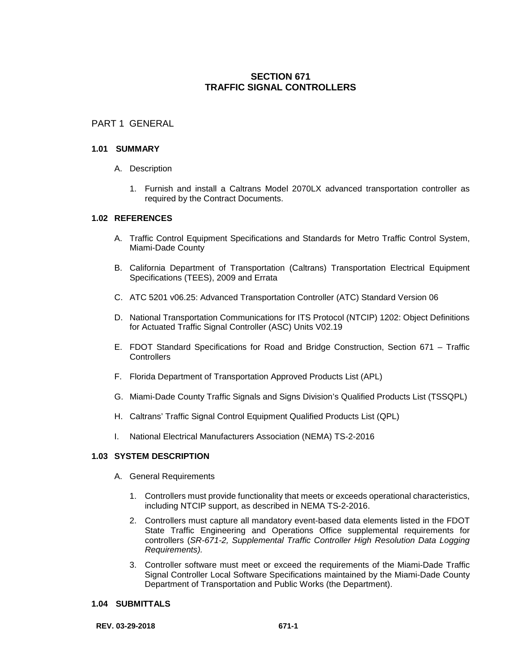# **SECTION 671 TRAFFIC SIGNAL CONTROLLERS**

# PART 1 GENERAL

### **1.01 SUMMARY**

- A. Description
	- 1. Furnish and install a Caltrans Model 2070LX advanced transportation controller as required by the Contract Documents.

### **1.02 REFERENCES**

- A. Traffic Control Equipment Specifications and Standards for Metro Traffic Control System, Miami-Dade County
- B. California Department of Transportation (Caltrans) Transportation Electrical Equipment Specifications (TEES), 2009 and Errata
- C. ATC 5201 v06.25: Advanced Transportation Controller (ATC) Standard Version 06
- D. National Transportation Communications for ITS Protocol (NTCIP) 1202: Object Definitions for Actuated Traffic Signal Controller (ASC) Units V02.19
- E. FDOT Standard Specifications for Road and Bridge Construction, Section 671 Traffic **Controllers**
- F. Florida Department of Transportation Approved Products List (APL)
- G. Miami-Dade County Traffic Signals and Signs Division's Qualified Products List (TSSQPL)
- H. Caltrans' Traffic Signal Control Equipment Qualified Products List (QPL)
- I. National Electrical Manufacturers Association (NEMA) TS-2-2016

# **1.03 SYSTEM DESCRIPTION**

- A. General Requirements
	- 1. Controllers must provide functionality that meets or exceeds operational characteristics, including NTCIP support, as described in NEMA TS-2-2016.
	- 2. Controllers must capture all mandatory event-based data elements listed in the FDOT State Traffic Engineering and Operations Office supplemental requirements for controllers (*SR-671-2, Supplemental Traffic Controller High Resolution Data Logging Requirements).*
	- 3. Controller software must meet or exceed the requirements of the Miami-Dade Traffic Signal Controller Local Software Specifications maintained by the Miami-Dade County Department of Transportation and Public Works (the Department).

#### **1.04 SUBMITTALS**

**REV. 03-29-2018 671-1**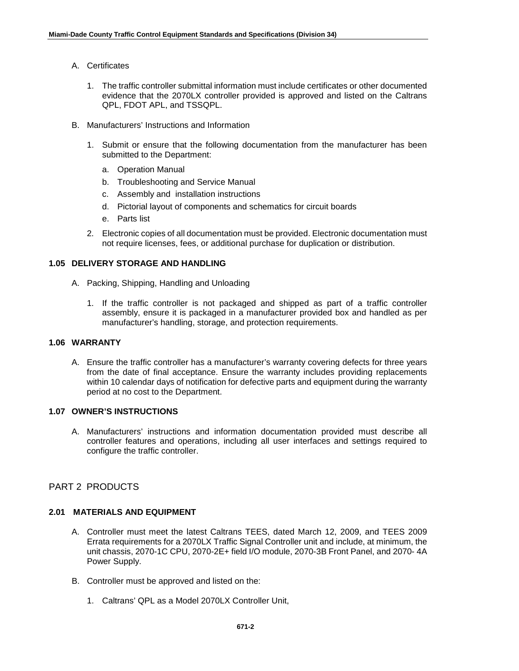- A. Certificates
	- 1. The traffic controller submittal information must include certificates or other documented evidence that the 2070LX controller provided is approved and listed on the Caltrans QPL, FDOT APL, and TSSQPL.
- B. Manufacturers' Instructions and Information
	- 1. Submit or ensure that the following documentation from the manufacturer has been submitted to the Department:
		- a. Operation Manual
		- b. Troubleshooting and Service Manual
		- c. Assembly and installation instructions
		- d. Pictorial layout of components and schematics for circuit boards
		- e. Parts list
	- 2. Electronic copies of all documentation must be provided. Electronic documentation must not require licenses, fees, or additional purchase for duplication or distribution.

# **1.05 DELIVERY STORAGE AND HANDLING**

- A. Packing, Shipping, Handling and Unloading
	- 1. If the traffic controller is not packaged and shipped as part of a traffic controller assembly, ensure it is packaged in a manufacturer provided box and handled as per manufacturer's handling, storage, and protection requirements.

## **1.06 WARRANTY**

A. Ensure the traffic controller has a manufacturer's warranty covering defects for three years from the date of final acceptance. Ensure the warranty includes providing replacements within 10 calendar days of notification for defective parts and equipment during the warranty period at no cost to the Department.

# **1.07 OWNER'S INSTRUCTIONS**

A. Manufacturers' instructions and information documentation provided must describe all controller features and operations, including all user interfaces and settings required to configure the traffic controller.

# PART 2 PRODUCTS

## **2.01 MATERIALS AND EQUIPMENT**

- A. Controller must meet the latest Caltrans TEES, dated March 12, 2009, and TEES 2009 Errata requirements for a 2070LX Traffic Signal Controller unit and include, at minimum, the unit chassis, 2070-1C CPU, 2070-2E+ field I/O module, 2070-3B Front Panel, and 2070- 4A Power Supply.
- B. Controller must be approved and listed on the:
	- 1. Caltrans' QPL as a Model 2070LX Controller Unit,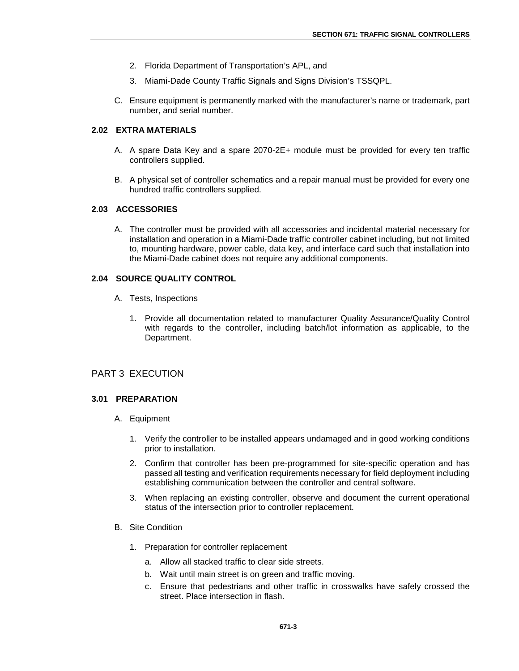- 2. Florida Department of Transportation's APL, and
- 3. Miami-Dade County Traffic Signals and Signs Division's TSSQPL.
- C. Ensure equipment is permanently marked with the manufacturer's name or trademark, part number, and serial number.

### **2.02 EXTRA MATERIALS**

- A. A spare Data Key and a spare 2070-2E+ module must be provided for every ten traffic controllers supplied.
- B. A physical set of controller schematics and a repair manual must be provided for every one hundred traffic controllers supplied.

# **2.03 ACCESSORIES**

A. The controller must be provided with all accessories and incidental material necessary for installation and operation in a Miami-Dade traffic controller cabinet including, but not limited to, mounting hardware, power cable, data key, and interface card such that installation into the Miami-Dade cabinet does not require any additional components.

### **2.04 SOURCE QUALITY CONTROL**

- A. Tests, Inspections
	- 1. Provide all documentation related to manufacturer Quality Assurance/Quality Control with regards to the controller, including batch/lot information as applicable, to the Department.

## PART 3 EXECUTION

#### **3.01 PREPARATION**

- A. Equipment
	- 1. Verify the controller to be installed appears undamaged and in good working conditions prior to installation.
	- 2. Confirm that controller has been pre-programmed for site-specific operation and has passed all testing and verification requirements necessary for field deployment including establishing communication between the controller and central software.
	- 3. When replacing an existing controller, observe and document the current operational status of the intersection prior to controller replacement.
- B. Site Condition
	- 1. Preparation for controller replacement
		- a. Allow all stacked traffic to clear side streets.
		- b. Wait until main street is on green and traffic moving.
		- c. Ensure that pedestrians and other traffic in crosswalks have safely crossed the street. Place intersection in flash.